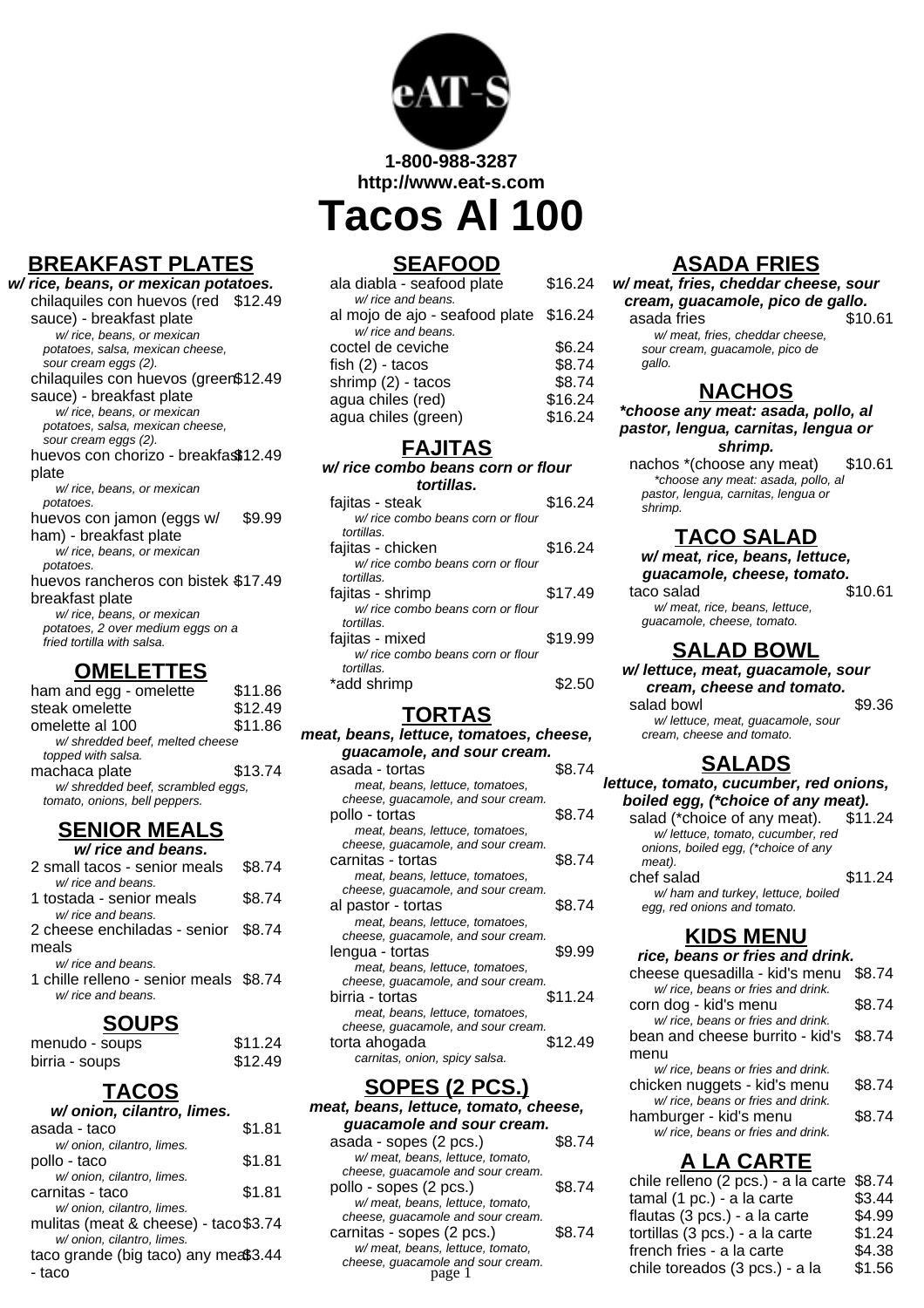

**1-800-988-3287 http://www.eat-s.com**

**Tacos Al 100**

# **BREAKFAST PLATES**

**w/ rice, beans, or mexican potatoes.** chilaquiles con huevos (red \$12.49 sauce) - breakfast plate w/ rice, beans, or mexican potatoes, salsa, mexican cheese, sour cream eggs (2). chilaquiles con huevos (green \$12.49 sauce) - breakfast plate w/ rice, beans, or mexican potatoes, salsa, mexican cheese, sour cream eggs (2). huevos con chorizo - breakfas\$12.49 plate w/ rice, beans, or mexican potatoes. huevos con jamon (eggs w/ ham) - breakfast plate \$9.99 w/ rice, beans, or mexican potatoes. huevos rancheros con bistek \$17.49 breakfast plate w/ rice, beans, or mexican potatoes, 2 over medium eggs on a fried tortilla with salsa.

#### **OMELETTES**

| ham and egg - omelette            | \$11.86 |
|-----------------------------------|---------|
| steak omelette                    | \$12.49 |
| omelette al 100                   | \$11.86 |
| w/shredded beef, melted cheese    |         |
| topped with salsa.                |         |
| machaca plate                     | \$13.74 |
| w/ shredded beef, scrambled eggs, |         |
| tomato, onions, bell peppers.     |         |
|                                   |         |

#### **SENIOR MEALS w/ rice and beans.**

| 2 small tacos - senior meals           | \$8.74 |
|----------------------------------------|--------|
| w/ rice and beans.                     |        |
| 1 tostada - senior meals               | \$8.74 |
| w/ rice and beans.                     |        |
| 2 cheese enchiladas - senior \$8.74    |        |
| meals                                  |        |
| w/ rice and beans.                     |        |
| 1 chille relleno - senior meals \$8.74 |        |
| w/ rice and beans.                     |        |
|                                        |        |

## **SOUPS**

| menudo - soups | \$11.24 |
|----------------|---------|
| birria - soups | \$12.49 |

## **TACOS**

| w/onion, cilantro, limes.             |        |
|---------------------------------------|--------|
| asada - taco                          | \$1.81 |
| w/ onion, cilantro, limes.            |        |
| pollo - taco                          | \$1.81 |
| w/ onion, cilantro, limes.            |        |
| carnitas - taco                       | \$1.81 |
| w/ onion, cilantro, limes.            |        |
| mulitas (meat & cheese) - taco \$3.74 |        |
| w/ onion, cilantro, limes.            |        |
| taco grande (big taco) any mea\$3.44  |        |
| - taco                                |        |
|                                       |        |

## **SEAFOOD**

| ala diabla - seafood plate             | \$16.24 |
|----------------------------------------|---------|
| w/ rice and beans.                     |         |
| al mojo de ajo - seafood plate \$16.24 |         |
| w/ rice and beans.                     |         |
| coctel de ceviche                      | \$6.24  |
| fish $(2)$ - tacos                     | \$8.74  |
| shrimp (2) - tacos                     | \$8.74  |
| agua chiles (red)                      | \$16.24 |
| agua chiles (green)                    | \$16.24 |
|                                        |         |

#### **FAJITAS**

| w/ rice combo beans corn or flour |         |
|-----------------------------------|---------|
| tortillas.                        |         |
| fajitas - steak                   | \$16.24 |
| w/ rice combo beans corn or flour |         |
| tortillas.                        |         |
| fajitas - chicken                 | \$16.24 |
| w/ rice combo beans corn or flour |         |
| tortillas.                        |         |
| fajitas - shrimp                  | \$17.49 |
| w/ rice combo beans corn or flour |         |
| tortillas.                        |         |
| fajitas - mixed                   | \$19.99 |
| w/ rice combo beans corn or flour |         |
| tortillas.                        |         |
| *add shrimp                       |         |
|                                   |         |

## **TORTAS**

| meat, beans, lettuce, tomatoes, cheese, |
|-----------------------------------------|
| guacamole, and sour cream.              |
| \$8.74                                  |
|                                         |
| cheese, guacamole, and sour cream.      |
| \$8.74                                  |
|                                         |
| cheese, guacamole, and sour cream.      |
| \$8.74                                  |
|                                         |
| cheese, guacamole, and sour cream.      |
| \$8.74                                  |
|                                         |
| cheese, guacamole, and sour cream.      |
| \$9.99                                  |
|                                         |
| cheese, guacamole, and sour cream.      |
| \$11.24                                 |
|                                         |
| cheese, guacamole, and sour cream.      |
| \$12.49                                 |
|                                         |
|                                         |

## **SOPES (2 PCS.)**

**meat, beans, lettuce, tomato, cheese, guacamole and sour cream.**

| asada - sopes (2 pcs.)                      | \$8.74 |
|---------------------------------------------|--------|
| w/ meat, beans, lettuce, tomato,            |        |
| cheese, quacamole and sour cream.           |        |
| pollo - sopes (2 pcs.)                      | \$8.74 |
| w/ meat, beans, lettuce, tomato,            |        |
| cheese, guacamole and sour cream.           |        |
| carnitas - sopes (2 pcs.)                   | S8 74  |
| w/ meat, beans, lettuce, tomato,            |        |
| cheese, guacamole and sour cream.<br>page 1 |        |
|                                             |        |

# **ASADA FRIES**

**w/ meat, fries, cheddar cheese, sour cream, guacamole, pico de gallo.** asada fries w/ meat, fries, cheddar cheese, sour cream, guacamole, pico de gallo.

## **NACHOS**

**\*choose any meat: asada, pollo, al pastor, lengua, carnitas, lengua or shrimp.**

nachos \*(choose any meat) \$10.61 \*choose any meat: asada, pollo, al pastor, lengua, carnitas, lengua or shrimp.

## **TACO SALAD**

**w/ meat, rice, beans, lettuce, guacamole, cheese, tomato.**

taco salad \$10.61

w/ meat, rice, beans, lettuce, guacamole, cheese, tomato.

#### **SALAD BOWL**

**w/ lettuce, meat, guacamole, sour cream, cheese and tomato.** salad bowl \$9.36

w/ lettuce, meat, guacamole, sour cream, cheese and tomato.

## **SALADS**

**lettuce, tomato, cucumber, red onions, boiled egg, (\*choice of any meat).**

| salad (*choice of any meat).        | \$11.24 |
|-------------------------------------|---------|
| w/ lettuce, tomato, cucumber, red   |         |
| onions, boiled egg, (*choice of any |         |
| meat).                              |         |
| chef salad                          | \$11.24 |
| w/ham and turkey, lettuce, boiled   |         |
| egg, red onions and tomato.         |         |

## **KIDS MENU**

| rice, beans or fries and drink.    |        |
|------------------------------------|--------|
| cheese quesadilla - kid's menu     | \$8.74 |
| w/ rice, beans or fries and drink. |        |
| corn dog - kid's menu              | \$8.74 |
| w/ rice, beans or fries and drink. |        |
| bean and cheese burrito - kid's    | \$8.74 |
| menu                               |        |
| w/ rice, beans or fries and drink. |        |
| chicken nuggets - kid's menu       | \$8.74 |
| w/ rice, beans or fries and drink. |        |
| hamburger - kid's menu             | \$8.74 |
| w/ rice, beans or fries and drink. |        |
|                                    |        |

# **A LA CARTE**

| ioic and sour cream.<br>2 pcs.) | \$8.74 | chile relleno (2 pcs.) - a la carte \$8.74 |        |
|---------------------------------|--------|--------------------------------------------|--------|
| ns, lettuce, tomato,            |        | tamal (1 pc.) - a la carte                 | \$3.44 |
| nole and sour cream.            |        | flautas (3 pcs.) - a la carte              | \$4.99 |
| s (2 pcs.)                      | \$8.74 | tortillas (3 pcs.) - a la carte            | \$1.24 |
| ns, lettuce, tomato,            |        | french fries - a la carte                  | \$4.38 |
| nole and sour cream.<br>page 1  |        | chile toreados (3 pcs.) - a la             | \$1.56 |
|                                 |        |                                            |        |